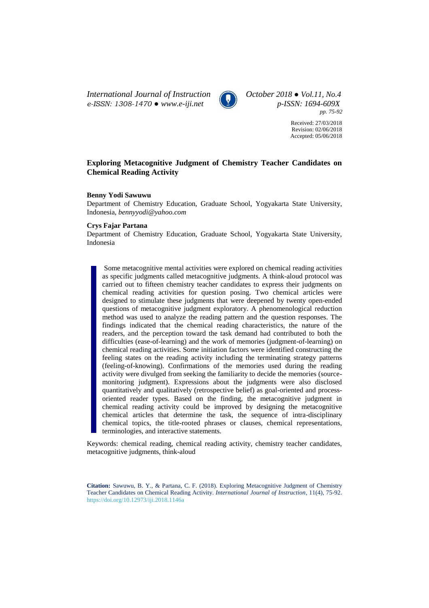*International Journal of Instruction October 2018 ● Vol.11, No.4 e-ISSN: 1308-1470 ● [www.e-iji.net](http://www.e-iji.net/) p-ISSN: 1694-609X*



*pp. 75-92*

Received: 27/03/2018 Revision: 02/06/2018 Accepted: 05/06/2018

# **Exploring Metacognitive Judgment of Chemistry Teacher Candidates on Chemical Reading Activity**

### **Benny Yodi Sawuwu**

Department of Chemistry Education, Graduate School, Yogyakarta State University, Indonesia, *bennyyodi@yahoo.com*

## **Crys Fajar Partana**

Department of Chemistry Education, Graduate School, Yogyakarta State University, Indonesia

Some metacognitive mental activities were explored on chemical reading activities as specific judgments called metacognitive judgments. A think-aloud protocol was carried out to fifteen chemistry teacher candidates to express their judgments on chemical reading activities for question posing. Two chemical articles were designed to stimulate these judgments that were deepened by twenty open-ended questions of metacognitive judgment exploratory. A phenomenological reduction method was used to analyze the reading pattern and the question responses. The findings indicated that the chemical reading characteristics, the nature of the readers, and the perception toward the task demand had contributed to both the difficulties (ease-of-learning) and the work of memories (judgment-of-learning) on chemical reading activities. Some initiation factors were identified constructing the feeling states on the reading activity including the terminating strategy patterns (feeling-of-knowing). Confirmations of the memories used during the reading activity were divulged from seeking the familiarity to decide the memories (sourcemonitoring judgment). Expressions about the judgments were also disclosed quantitatively and qualitatively (retrospective belief) as goal-oriented and processoriented reader types. Based on the finding, the metacognitive judgment in chemical reading activity could be improved by designing the metacognitive chemical articles that determine the task, the sequence of intra-disciplinary chemical topics, the title-rooted phrases or clauses, chemical representations, terminologies, and interactive statements.

Keywords: chemical reading, chemical reading activity, chemistry teacher candidates, metacognitive judgments, think-aloud

**Citation:** Sawuwu, B. Y., & Partana, C. F. (2018). Exploring Metacognitive Judgment of Chemistry Teacher Candidates on Chemical Reading Activity. *International Journal of Instruction*, 11(4), 75-92. <https://doi.org/10.12973/iji.2018.1146a>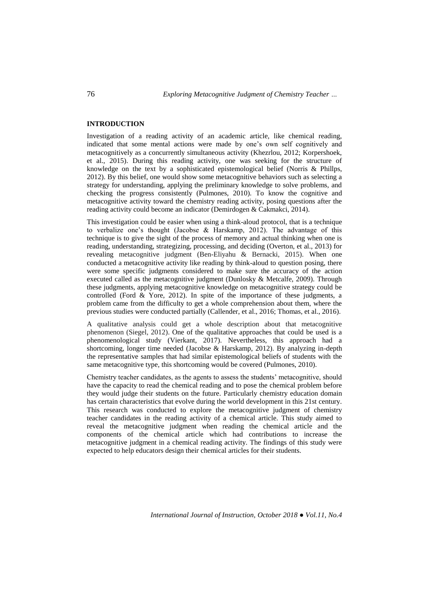## **INTRODUCTION**

Investigation of a reading activity of an academic article, like chemical reading, indicated that some mental actions were made by one's own self cognitively and metacognitively as a concurrently simultaneous activity (Khezrlou, 2012; Korpershoek, et al., 2015). During this reading activity, one was seeking for the structure of knowledge on the text by a sophisticated epistemological belief (Norris & Phillps, 2012). By this belief, one would show some metacognitive behaviors such as selecting a strategy for understanding, applying the preliminary knowledge to solve problems, and checking the progress consistently (Pulmones, 2010). To know the cognitive and metacognitive activity toward the chemistry reading activity, posing questions after the reading activity could become an indicator (Demirdogen & Cakmakci, 2014).

This investigation could be easier when using a think-aloud protocol, that is a technique to verbalize one's thought (Jacobse & Harskamp, 2012). The advantage of this technique is to give the sight of the process of memory and actual thinking when one is reading, understanding, strategizing, processing, and deciding (Overton, et al., 2013) for revealing metacognitive judgment (Ben-Eliyahu & Bernacki, 2015). When one conducted a metacognitive activity like reading by think-aloud to question posing, there were some specific judgments considered to make sure the accuracy of the action executed called as the metacognitive judgment (Dunlosky & Metcalfe, 2009). Through these judgments, applying metacognitive knowledge on metacognitive strategy could be controlled (Ford & Yore, 2012). In spite of the importance of these judgments, a problem came from the difficulty to get a whole comprehension about them, where the previous studies were conducted partially (Callender, et al., 2016; Thomas, et al., 2016).

A qualitative analysis could get a whole description about that metacognitive phenomenon (Siegel, 2012). One of the qualitative approaches that could be used is a phenomenological study (Vierkant, 2017). Nevertheless, this approach had a shortcoming, longer time needed (Jacobse & Harskamp, 2012). By analyzing in-depth the representative samples that had similar epistemological beliefs of students with the same metacognitive type, this shortcoming would be covered (Pulmones, 2010).

Chemistry teacher candidates, as the agents to assess the students' metacognitive, should have the capacity to read the chemical reading and to pose the chemical problem before they would judge their students on the future. Particularly chemistry education domain has certain characteristics that evolve during the world development in this 21st century. This research was conducted to explore the metacognitive judgment of chemistry teacher candidates in the reading activity of a chemical article. This study aimed to reveal the metacognitive judgment when reading the chemical article and the components of the chemical article which had contributions to increase the metacognitive judgment in a chemical reading activity. The findings of this study were expected to help educators design their chemical articles for their students.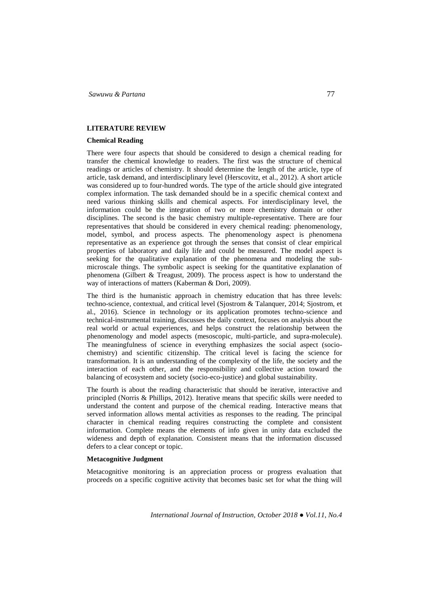### **LITERATURE REVIEW**

## **Chemical Reading**

There were four aspects that should be considered to design a chemical reading for transfer the chemical knowledge to readers. The first was the structure of chemical readings or articles of chemistry. It should determine the length of the article, type of article, task demand, and interdisciplinary level (Herscovitz, et al., 2012). A short article was considered up to four-hundred words. The type of the article should give integrated complex information. The task demanded should be in a specific chemical context and need various thinking skills and chemical aspects. For interdisciplinary level, the information could be the integration of two or more chemistry domain or other disciplines. The second is the basic chemistry multiple-representative. There are four representatives that should be considered in every chemical reading: phenomenology, model, symbol, and process aspects. The phenomenology aspect is phenomena representative as an experience got through the senses that consist of clear empirical properties of laboratory and daily life and could be measured. The model aspect is seeking for the qualitative explanation of the phenomena and modeling the submicroscale things. The symbolic aspect is seeking for the quantitative explanation of phenomena (Gilbert & Treagust, 2009). The process aspect is how to understand the way of interactions of matters (Kaberman & Dori, 2009).

The third is the humanistic approach in chemistry education that has three levels: techno-science, contextual, and critical level (Sjostrom & Talanquer, 2014; Sjostrom, et al., 2016). Science in technology or its application promotes techno-science and technical-instrumental training, discusses the daily context, focuses on analysis about the real world or actual experiences, and helps construct the relationship between the phenomenology and model aspects (mesoscopic, multi-particle, and supra-molecule). The meaningfulness of science in everything emphasizes the social aspect (sociochemistry) and scientific citizenship. The critical level is facing the science for transformation. It is an understanding of the complexity of the life, the society and the interaction of each other, and the responsibility and collective action toward the balancing of ecosystem and society (socio-eco-justice) and global sustainability.

The fourth is about the reading characteristic that should be iterative, interactive and principled (Norris & Phillips, 2012). Iterative means that specific skills were needed to understand the content and purpose of the chemical reading. Interactive means that served information allows mental activities as responses to the reading. The principal character in chemical reading requires constructing the complete and consistent information. Complete means the elements of info given in unity data excluded the wideness and depth of explanation. Consistent means that the information discussed defers to a clear concept or topic.

#### **Metacognitive Judgment**

Metacognitive monitoring is an appreciation process or progress evaluation that proceeds on a specific cognitive activity that becomes basic set for what the thing will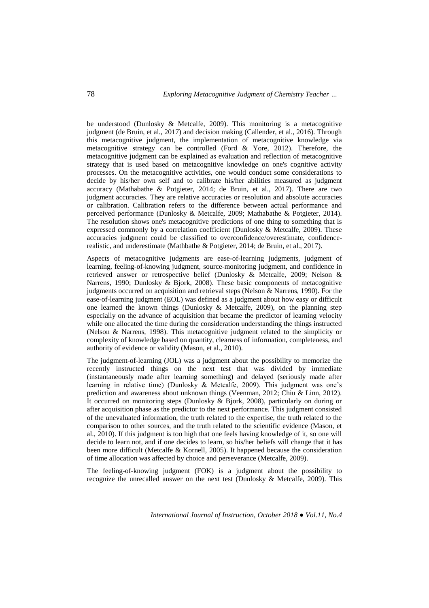be understood (Dunlosky & Metcalfe, 2009). This monitoring is a metacognitive judgment (de Bruin, et al., 2017) and decision making (Callender, et al., 2016). Through this metacognitive judgment, the implementation of metacognitive knowledge via metacognitive strategy can be controlled (Ford  $\&$  Yore, 2012). Therefore, the metacognitive judgment can be explained as evaluation and reflection of metacognitive strategy that is used based on metacognitive knowledge on one's cognitive activity processes. On the metacognitive activities, one would conduct some considerations to decide by his/her own self and to calibrate his/her abilities measured as judgment accuracy (Mathabathe & Potgieter, 2014; de Bruin, et al., 2017). There are two judgment accuracies. They are relative accuracies or resolution and absolute accuracies or calibration. Calibration refers to the difference between actual performance and perceived performance (Dunlosky & Metcalfe, 2009; Mathabathe & Potgieter, 2014). The resolution shows one's metacognitive predictions of one thing to something that is expressed commonly by a correlation coefficient (Dunlosky & Metcalfe, 2009). These accuracies judgment could be classified to overconfidence/overestimate, confidencerealistic, and underestimate (Mathbathe & Potgieter, 2014; de Bruin, et al., 2017).

Aspects of metacognitive judgments are ease-of-learning judgments, judgment of learning, feeling-of-knowing judgment, source-monitoring judgment, and confidence in retrieved answer or retrospective belief (Dunlosky & Metcalfe, 2009; Nelson & Narrens, 1990; Dunlosky  $\&$  Bjork, 2008). These basic components of metacognitive judgments occurred on acquisition and retrieval steps (Nelson & Narrens, 1990). For the ease-of-learning judgment (EOL) was defined as a judgment about how easy or difficult one learned the known things (Dunlosky & Metcalfe, 2009), on the planning step especially on the advance of acquisition that became the predictor of learning velocity while one allocated the time during the consideration understanding the things instructed (Nelson & Narrens, 1998). This metacognitive judgment related to the simplicity or complexity of knowledge based on quantity, clearness of information, completeness, and authority of evidence or validity (Mason, et al., 2010).

The judgment-of-learning (JOL) was a judgment about the possibility to memorize the recently instructed things on the next test that was divided by immediate (instantaneously made after learning something) and delayed (seriously made after learning in relative time) (Dunlosky & Metcalfe, 2009). This judgment was one's prediction and awareness about unknown things (Veenman, 2012; Chiu & Linn, 2012). It occurred on monitoring steps (Dunlosky & Bjork, 2008), particularly on during or after acquisition phase as the predictor to the next performance. This judgment consisted of the unevaluated information, the truth related to the expertise, the truth related to the comparison to other sources, and the truth related to the scientific evidence (Mason, et al., 2010). If this judgment is too high that one feels having knowledge of it, so one will decide to learn not, and if one decides to learn, so his/her beliefs will change that it has been more difficult (Metcalfe & Kornell, 2005). It happened because the consideration of time allocation was affected by choice and perseverance (Metcalfe, 2009).

The feeling-of-knowing judgment (FOK) is a judgment about the possibility to recognize the unrecalled answer on the next test (Dunlosky & Metcalfe, 2009). This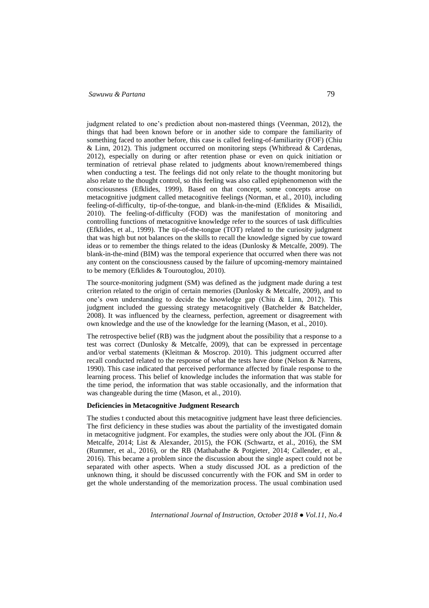judgment related to one's prediction about non-mastered things (Veenman, 2012), the things that had been known before or in another side to compare the familiarity of something faced to another before, this case is called feeling-of-familiarity (FOF) (Chiu & Linn, 2012). This judgment occurred on monitoring steps (Whitbread & Cardenas, 2012), especially on during or after retention phase or even on quick initiation or termination of retrieval phase related to judgments about known/remembered things when conducting a test. The feelings did not only relate to the thought monitoring but also relate to the thought control, so this feeling was also called epiphenomenon with the consciousness (Efklides, 1999). Based on that concept, some concepts arose on metacognitive judgment called metacognitive feelings (Norman, et al., 2010), including feeling-of-difficulty, tip-of-the-tongue, and blank-in-the-mind (Efklides & Misailidi, 2010). The feeling-of-difficulty (FOD) was the manifestation of monitoring and controlling functions of metacognitive knowledge refer to the sources of task difficulties (Efklides, et al., 1999). The tip-of-the-tongue (TOT) related to the curiosity judgment that was high but not balances on the skills to recall the knowledge signed by cue toward ideas or to remember the things related to the ideas (Dunlosky & Metcalfe, 2009). The blank-in-the-mind (BIM) was the temporal experience that occurred when there was not any content on the consciousness caused by the failure of upcoming-memory maintained to be memory (Efklides & Touroutoglou, 2010).

The source-monitoring judgment (SM) was defined as the judgment made during a test criterion related to the origin of certain memories (Dunlosky & Metcalfe, 2009), and to one's own understanding to decide the knowledge gap (Chiu & Linn, 2012). This judgment included the guessing strategy metacognitively (Batchelder & Batchelder, 2008). It was influenced by the clearness, perfection, agreement or disagreement with own knowledge and the use of the knowledge for the learning (Mason, et al., 2010).

The retrospective belief (RB) was the judgment about the possibility that a response to a test was correct (Dunlosky & Metcalfe, 2009), that can be expressed in percentage and/or verbal statements (Kleitman & Moscrop. 2010). This judgment occurred after recall conducted related to the response of what the tests have done (Nelson & Narrens, 1990). This case indicated that perceived performance affected by finale response to the learning process. This belief of knowledge includes the information that was stable for the time period, the information that was stable occasionally, and the information that was changeable during the time (Mason, et al., 2010).

# **Deficiencies in Metacognitive Judgment Research**

The studies t conducted about this metacognitive judgment have least three deficiencies. The first deficiency in these studies was about the partiality of the investigated domain in metacognitive judgment. For examples, the studies were only about the JOL (Finn & Metcalfe, 2014; List & Alexander, 2015), the FOK (Schwartz, et al., 2016), the SM (Rummer, et al., 2016), or the RB (Mathabathe & Potgieter, 2014; Callender, et al., 2016). This became a problem since the discussion about the single aspect could not be separated with other aspects. When a study discussed JOL as a prediction of the unknown thing, it should be discussed concurrently with the FOK and SM in order to get the whole understanding of the memorization process. The usual combination used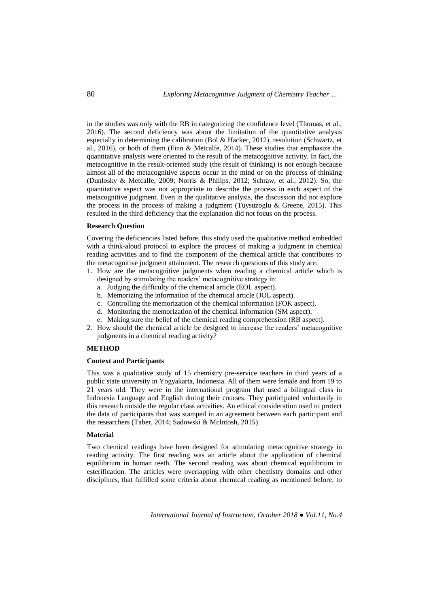in the studies was only with the RB in categorizing the confidence level (Thomas, et al., 2016). The second deficiency was about the limitation of the quantitative analysis especially in determining the calibration (Bol & Hacker, 2012), resolution (Schwartz, et al., 2016), or both of them (Finn & Metcalfe, 2014). These studies that emphasize the quantitative analysis were oriented to the result of the metacognitive activity. In fact, the metacognitive in the result-oriented study (the result of thinking) is not enough because almost all of the metacognitive aspects occur in the mind or on the process of thinking (Dunlosky & Metcalfe, 2009; Norris & Phillps, 2012; Schraw, et al., 2012). So, the quantitative aspect was not appropriate to describe the process in each aspect of the metacognitive judgment. Even in the qualitative analysis, the discussion did not explore the process in the process of making a judgment (Tuysuzoglu & Greene, 2015). This resulted in the third deficiency that the explanation did not focus on the process.

### **Research Question**

Covering the deficiencies listed before, this study used the qualitative method embedded with a think-aloud protocol to explore the process of making a judgment in chemical reading activities and to find the component of the chemical article that contributes to the metacognitive judgment attainment. The research questions of this study are:

- 1. How are the metacognitive judgments when reading a chemical article which is designed by stimulating the readers' metacognitive strategy in:
	- a. Judging the difficulty of the chemical article (EOL aspect).
	- b. Memorizing the information of the chemical article (JOL aspect).
	- c. Controlling the memorization of the chemical information (FOK aspect).
	- d. Monitoring the memorization of the chemical information (SM aspect).
	- e. Making sure the belief of the chemical reading comprehension (RB aspect).
- 2. How should the chemical article be designed to increase the readers' metacognitive judgments in a chemical reading activity?

### **METHOD**

### **Context and Participants**

This was a qualitative study of 15 chemistry pre-service teachers in third years of a public state university in Yogyakarta, Indonesia. All of them were female and from 19 to 21 years old. They were in the international program that used a bilingual class in Indonesia Language and English during their courses. They participated voluntarily in this research outside the regular class activities. An ethical consideration used to protect the data of participants that was stamped in an agreement between each participant and the researchers (Taber, 2014; Sadowski & McIntosh, 2015).

#### **Material**

Two chemical readings have been designed for stimulating metacognitive strategy in reading activity. The first reading was an article about the application of chemical equilibrium in human teeth. The second reading was about chemical equilibrium in esterification. The articles were overlapping with other chemistry domains and other disciplines, that fulfilled some criteria about chemical reading as mentioned before, to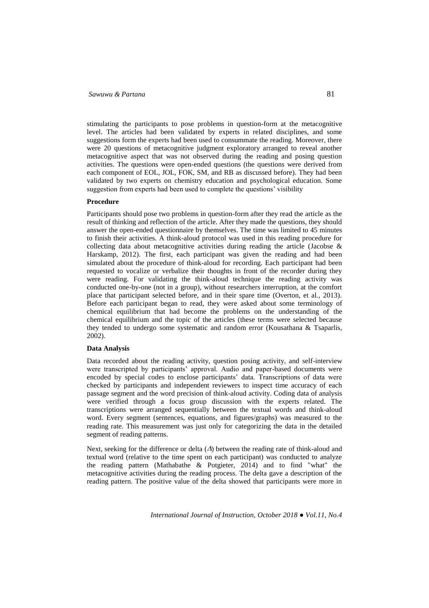stimulating the participants to pose problems in question-form at the metacognitive level. The articles had been validated by experts in related disciplines, and some suggestions form the experts had been used to consummate the reading. Moreover, there were 20 questions of metacognitive judgment exploratory arranged to reveal another metacognitive aspect that was not observed during the reading and posing question activities. The questions were open-ended questions (the questions were derived from each component of EOL, JOL, FOK, SM, and RB as discussed before). They had been validated by two experts on chemistry education and psychological education. Some suggestion from experts had been used to complete the questions' visibility

## **Procedure**

Participants should pose two problems in question-form after they read the article as the result of thinking and reflection of the article. After they made the questions, they should answer the open-ended questionnaire by themselves. The time was limited to 45 minutes to finish their activities. A think-aloud protocol was used in this reading procedure for collecting data about metacognitive activities during reading the article (Jacobse & Harskamp, 2012). The first, each participant was given the reading and had been simulated about the procedure of think-aloud for recording. Each participant had been requested to vocalize or verbalize their thoughts in front of the recorder during they were reading. For validating the think-aloud technique the reading activity was conducted one-by-one (not in a group), without researchers interruption, at the comfort place that participant selected before, and in their spare time (Overton, et al., 2013). Before each participant began to read, they were asked about some terminology of chemical equilibrium that had become the problems on the understanding of the chemical equilibrium and the topic of the articles (these terms were selected because they tended to undergo some systematic and random error (Kousathana & Tsaparlis, 2002).

#### **Data Analysis**

Data recorded about the reading activity, question posing activity, and self-interview were transcripted by participants' approval. Audio and paper-based documents were encoded by special codes to enclose participants' data. Transcriptions of data were checked by participants and independent reviewers to inspect time accuracy of each passage segment and the word precision of think-aloud activity. Coding data of analysis were verified through a focus group discussion with the experts related. The transcriptions were arranged sequentially between the textual words and think-aloud word. Every segment (sentences, equations, and figures/graphs) was measured to the reading rate. This measurement was just only for categorizing the data in the detailed segment of reading patterns.

Next, seeking for the difference or delta  $(\Delta)$  between the reading rate of think-aloud and textual word (relative to the time spent on each participant) was conducted to analyze the reading pattern (Mathabathe & Potgieter, 2014) and to find "what" the metacognitive activities during the reading process. The delta gave a description of the reading pattern. The positive value of the delta showed that participants were more in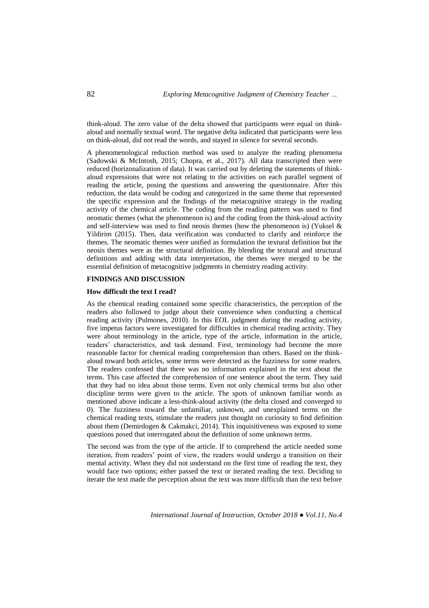think-aloud. The zero value of the delta showed that participants were equal on thinkaloud and normally textual word. The negative delta indicated that participants were less on think-aloud, did not read the words, and stayed in silence for several seconds.

A phenomenological reduction method was used to analyze the reading phenomena (Sadowski & McIntosh, 2015; Chopra, et al., 2017). All data transcripted then were reduced (horizonalization of data). It was carried out by deleting the statements of thinkaloud expressions that were not relating to the activities on each parallel segment of reading the article, posing the questions and answering the questionnaire. After this reduction, the data would be coding and categorized in the same theme that represented the specific expression and the findings of the metacognitive strategy in the reading activity of the chemical article. The coding from the reading pattern was used to find neomatic themes (what the phenomenon is) and the coding from the think-aloud activity and self-interview was used to find neosis themes (how the phenomenon is) (Yuksel  $\&$ Yildirim (2015). Then, data verification was conducted to clarify and reinforce the themes. The neomatic themes were unified as formulation the textural definition but the neosis themes were as the structural definition. By blending the textural and structural definitions and adding with data interpretation, the themes were merged to be the essential definition of metacognitive judgments in chemistry reading activity.

#### **FINDINGS AND DISCUSSION**

#### **How difficult the text I read?**

As the chemical reading contained some specific characteristics, the perception of the readers also followed to judge about their convenience when conducting a chemical reading activity (Pulmones, 2010). In this EOL judgment during the reading activity, five impetus factors were investigated for difficulties in chemical reading activity. They were about terminology in the article, type of the article, information in the article, readers' characteristics, and task demand. First, terminology had become the more reasonable factor for chemical reading comprehension than others. Based on the thinkaloud toward both articles, some terms were detected as the fuzziness for some readers. The readers confessed that there was no information explained in the text about the terms. This case affected the comprehension of one sentence about the term. They said that they had no idea about those terms. Even not only chemical terms but also other discipline terms were given to the article. The spots of unknown familiar words as mentioned above indicate a less-think-aloud activity (the delta closed and converged to 0). The fuzziness toward the unfamiliar, unknown, and unexplained terms on the chemical reading texts, stimulate the readers just thought on curiosity to find definition about them (Demirdogen & Cakmakci, 2014). This inquisitiveness was exposed to some questions posed that interrogated about the definition of some unknown terms.

The second was from the type of the article. If to comprehend the article needed some iteration, from readers' point of view, the readers would undergo a transition on their mental activity. When they did not understand on the first time of reading the text, they would face two options; either passed the text or iterated reading the text. Deciding to iterate the text made the perception about the text was more difficult than the text before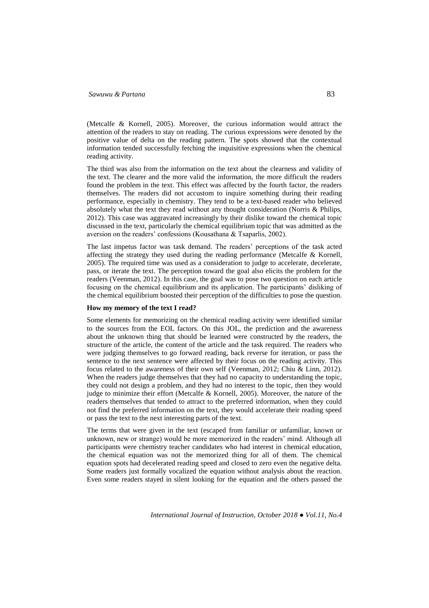(Metcalfe & Kornell, 2005). Moreover, the curious information would attract the attention of the readers to stay on reading. The curious expressions were denoted by the positive value of delta on the reading pattern. The spots showed that the contextual information tended successfully fetching the inquisitive expressions when the chemical reading activity.

The third was also from the information on the text about the clearness and validity of the text. The clearer and the more valid the information, the more difficult the readers found the problem in the text. This effect was affected by the fourth factor, the readers themselves. The readers did not accustom to inquire something during their reading performance, especially in chemistry. They tend to be a text-based reader who believed absolutely what the text they read without any thought consideration (Norris & Philips, 2012). This case was aggravated increasingly by their dislike toward the chemical topic discussed in the text, particularly the chemical equilibrium topic that was admitted as the aversion on the readers' confessions (Kousathana & Tsaparlis, 2002).

The last impetus factor was task demand. The readers' perceptions of the task acted affecting the strategy they used during the reading performance (Metcalfe & Kornell, 2005). The required time was used as a consideration to judge to accelerate, decelerate, pass, or iterate the text. The perception toward the goal also elicits the problem for the readers (Veenman, 2012). In this case, the goal was to pose two question on each article focusing on the chemical equilibrium and its application. The participants' disliking of the chemical equilibrium boosted their perception of the difficulties to pose the question.

#### **How my memory of the text I read?**

Some elements for memorizing on the chemical reading activity were identified similar to the sources from the EOL factors. On this JOL, the prediction and the awareness about the unknown thing that should be learned were constructed by the readers, the structure of the article, the content of the article and the task required. The readers who were judging themselves to go forward reading, back reverse for iteration, or pass the sentence to the next sentence were affected by their focus on the reading activity. This focus related to the awareness of their own self (Veenman, 2012; Chiu & Linn, 2012). When the readers judge themselves that they had no capacity to understanding the topic, they could not design a problem, and they had no interest to the topic, then they would judge to minimize their effort (Metcalfe & Kornell, 2005). Moreover, the nature of the readers themselves that tended to attract to the preferred information, when they could not find the preferred information on the text, they would accelerate their reading speed or pass the text to the next interesting parts of the text.

The terms that were given in the text (escaped from familiar or unfamiliar, known or unknown, new or strange) would be more memorized in the readers' mind. Although all participants were chemistry teacher candidates who had interest in chemical education, the chemical equation was not the memorized thing for all of them. The chemical equation spots had decelerated reading speed and closed to zero even the negative delta. Some readers just formally vocalized the equation without analysis about the reaction. Even some readers stayed in silent looking for the equation and the others passed the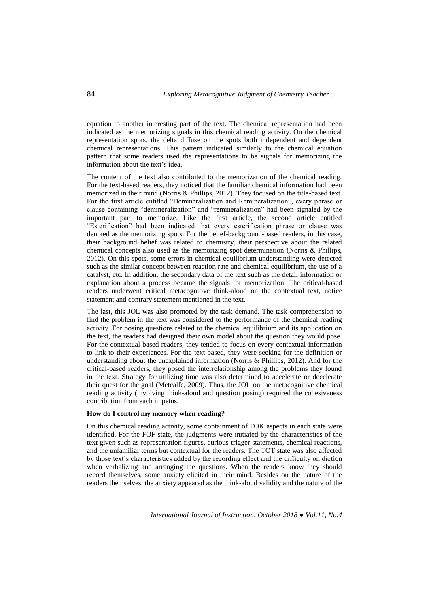equation to another interesting part of the text. The chemical representation had been indicated as the memorizing signals in this chemical reading activity. On the chemical representation spots, the delta diffuse on the spots both independent and dependent chemical representations. This pattern indicated similarly to the chemical equation pattern that some readers used the representations to be signals for memorizing the information about the text's idea.

The content of the text also contributed to the memorization of the chemical reading. For the text-based readers, they noticed that the familiar chemical information had been memorized in their mind (Norris & Phillips, 2012). They focused on the title-based text. For the first article entitled "Demineralization and Remineralization", every phrase or clause containing "demineralization" and "remineralization" had been signaled by the important part to memorize. Like the first article, the second article entitled "Esterification" had been indicated that every esterification phrase or clause was denoted as the memorizing spots. For the belief-background-based readers, in this case, their background belief was related to chemistry, their perspective about the related chemical concepts also used as the memorizing spot determination (Norris & Phillips, 2012). On this spots, some errors in chemical equilibrium understanding were detected such as the similar concept between reaction rate and chemical equilibrium, the use of a catalyst, etc. In addition, the secondary data of the text such as the detail information or explanation about a process became the signals for memorization. The critical-based readers underwent critical metacognitive think-aloud on the contextual text, notice statement and contrary statement mentioned in the text.

The last, this JOL was also promoted by the task demand. The task comprehension to find the problem in the text was considered to the performance of the chemical reading activity. For posing questions related to the chemical equilibrium and its application on the text, the readers had designed their own model about the question they would pose. For the contextual-based readers, they tended to focus on every contextual information to link to their experiences. For the text-based, they were seeking for the definition or understanding about the unexplained information (Norris & Phillips, 2012). And for the critical-based readers, they posed the interrelationship among the problems they found in the text. Strategy for utilizing time was also determined to accelerate or decelerate their quest for the goal (Metcalfe, 2009). Thus, the JOL on the metacognitive chemical reading activity (involving think-aloud and question posing) required the cohesiveness contribution from each impetus.

## **How do I control my memory when reading?**

On this chemical reading activity, some containment of FOK aspects in each state were identified. For the FOF state, the judgments were initiated by the characteristics of the text given such as representation figures, curious-trigger statements, chemical reactions, and the unfamiliar terms but contextual for the readers. The TOT state was also affected by those text's characteristics added by the recording effect and the difficulty on diction when verbalizing and arranging the questions. When the readers know they should record themselves, some anxiety elicited in their mind. Besides on the nature of the readers themselves, the anxiety appeared as the think-aloud validity and the nature of the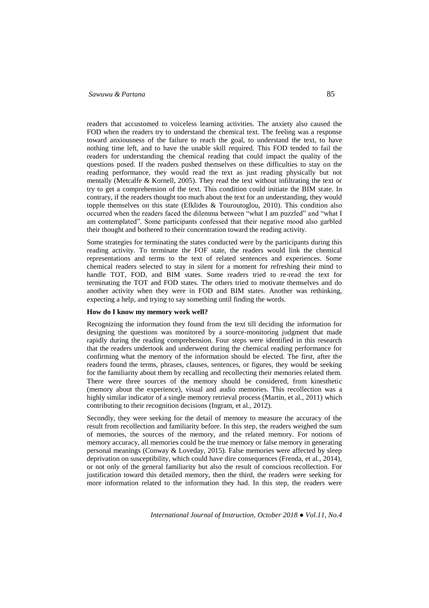readers that accustomed to voiceless learning activities. The anxiety also caused the FOD when the readers try to understand the chemical text. The feeling was a response toward anxiousness of the failure to reach the goal, to understand the text, to have nothing time left, and to have the unable skill required. This FOD tended to fail the readers for understanding the chemical reading that could impact the quality of the questions posed. If the readers pushed themselves on these difficulties to stay on the reading performance, they would read the text as just reading physically but not mentally (Metcalfe & Kornell, 2005). They read the text without infiltrating the text or try to get a comprehension of the text. This condition could initiate the BIM state. In contrary, if the readers thought too much about the text for an understanding, they would topple themselves on this state (Efklides & Touroutoglou, 2010). This condition also occurred when the readers faced the dilemma between "what I am puzzled" and "what I am contemplated". Some participants confessed that their negative mood also garbled their thought and bothered to their concentration toward the reading activity.

Some strategies for terminating the states conducted were by the participants during this reading activity. To terminate the FOF state, the readers would link the chemical representations and terms to the text of related sentences and experiences. Some chemical readers selected to stay in silent for a moment for refreshing their mind to handle TOT, FOD, and BIM states. Some readers tried to re-read the text for terminating the TOT and FOD states. The others tried to motivate themselves and do another activity when they were in FOD and BIM states. Another was rethinking, expecting a help, and trying to say something until finding the words.

## **How do I know my memory work well?**

Recognizing the information they found from the text till deciding the information for designing the questions was monitored by a source-monitoring judgment that made rapidly during the reading comprehension. Four steps were identified in this research that the readers undertook and underwent during the chemical reading performance for confirming what the memory of the information should be elected. The first, after the readers found the terms, phrases, clauses, sentences, or figures, they would be seeking for the familiarity about them by recalling and recollecting their memories related them. There were three sources of the memory should be considered, from kinesthetic (memory about the experience), visual and audio memories. This recollection was a highly similar indicator of a single memory retrieval process (Martin, et al., 2011) which contributing to their recognition decisions (Ingram, et al., 2012).

Secondly, they were seeking for the detail of memory to measure the accuracy of the result from recollection and familiarity before. In this step, the readers weighed the sum of memories, the sources of the memory, and the related memory. For notions of memory accuracy, all memories could be the true memory or false memory in generating personal meanings (Conway & Loveday, 2015). False memories were affected by sleep deprivation on susceptibility, which could have dire consequences (Frenda, et al., 2014), or not only of the general familiarity but also the result of conscious recollection. For justification toward this detailed memory, then the third, the readers were seeking for more information related to the information they had. In this step, the readers were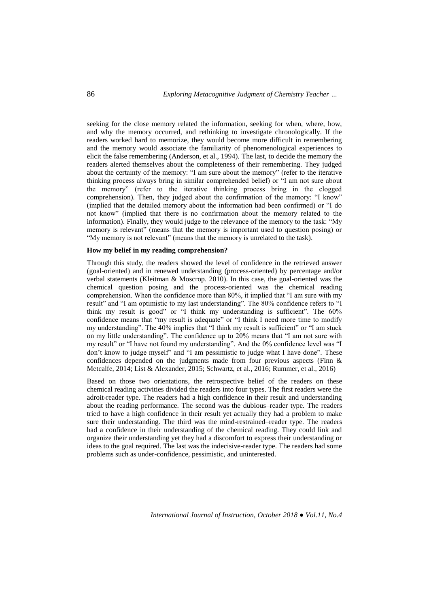seeking for the close memory related the information, seeking for when, where, how, and why the memory occurred, and rethinking to investigate chronologically. If the readers worked hard to memorize, they would become more difficult in remembering and the memory would associate the familiarity of phenomenological experiences to elicit the false remembering (Anderson, et al., 1994). The last, to decide the memory the readers alerted themselves about the completeness of their remembering. They judged about the certainty of the memory: "I am sure about the memory" (refer to the iterative thinking process always bring in similar comprehended belief) or "I am not sure about the memory" (refer to the iterative thinking process bring in the clogged comprehension). Then, they judged about the confirmation of the memory: "I know" (implied that the detailed memory about the information had been confirmed) or "I do not know" (implied that there is no confirmation about the memory related to the information). Finally, they would judge to the relevance of the memory to the task: "My memory is relevant" (means that the memory is important used to question posing) or "My memory is not relevant" (means that the memory is unrelated to the task).

#### **How my belief in my reading comprehension?**

Through this study, the readers showed the level of confidence in the retrieved answer (goal-oriented) and in renewed understanding (process-oriented) by percentage and/or verbal statements (Kleitman & Moscrop. 2010). In this case, the goal-oriented was the chemical question posing and the process-oriented was the chemical reading comprehension. When the confidence more than 80%, it implied that "I am sure with my result" and "I am optimistic to my last understanding". The 80% confidence refers to "I think my result is good" or "I think my understanding is sufficient". The 60% confidence means that "my result is adequate" or "I think I need more time to modify my understanding". The 40% implies that "I think my result is sufficient" or "I am stuck on my little understanding". The confidence up to 20% means that "I am not sure with my result" or "I have not found my understanding". And the 0% confidence level was "I don't know to judge myself" and "I am pessimistic to judge what I have done". These confidences depended on the judgments made from four previous aspects (Finn & Metcalfe, 2014; List & Alexander, 2015; Schwartz, et al., 2016; Rummer, et al., 2016)

Based on those two orientations, the retrospective belief of the readers on these chemical reading activities divided the readers into four types. The first readers were the adroit-reader type. The readers had a high confidence in their result and understanding about the reading performance. The second was the dubious–reader type. The readers tried to have a high confidence in their result yet actually they had a problem to make sure their understanding. The third was the mind-restrained–reader type. The readers had a confidence in their understanding of the chemical reading. They could link and organize their understanding yet they had a discomfort to express their understanding or ideas to the goal required. The last was the indecisive-reader type. The readers had some problems such as under-confidence, pessimistic, and uninterested.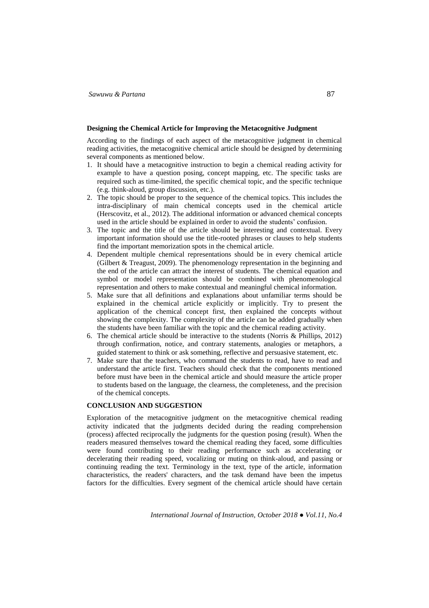#### **Designing the Chemical Article for Improving the Metacognitive Judgment**

According to the findings of each aspect of the metacognitive judgment in chemical reading activities, the metacognitive chemical article should be designed by determining several components as mentioned below.

- 1. It should have a metacognitive instruction to begin a chemical reading activity for example to have a question posing, concept mapping, etc. The specific tasks are required such as time-limited, the specific chemical topic, and the specific technique (e.g. think-aloud, group discussion, etc.).
- 2. The topic should be proper to the sequence of the chemical topics. This includes the intra-disciplinary of main chemical concepts used in the chemical article (Herscovitz, et al., 2012). The additional information or advanced chemical concepts used in the article should be explained in order to avoid the students' confusion.
- 3. The topic and the title of the article should be interesting and contextual. Every important information should use the title-rooted phrases or clauses to help students find the important memorization spots in the chemical article.
- 4. Dependent multiple chemical representations should be in every chemical article (Gilbert & Treagust, 2009). The phenomenology representation in the beginning and the end of the article can attract the interest of students. The chemical equation and symbol or model representation should be combined with phenomenological representation and others to make contextual and meaningful chemical information.
- 5. Make sure that all definitions and explanations about unfamiliar terms should be explained in the chemical article explicitly or implicitly. Try to present the application of the chemical concept first, then explained the concepts without showing the complexity. The complexity of the article can be added gradually when the students have been familiar with the topic and the chemical reading activity.
- 6. The chemical article should be interactive to the students (Norris & Phillips, 2012) through confirmation, notice, and contrary statements, analogies or metaphors, a guided statement to think or ask something, reflective and persuasive statement, etc.
- 7. Make sure that the teachers, who command the students to read, have to read and understand the article first. Teachers should check that the components mentioned before must have been in the chemical article and should measure the article proper to students based on the language, the clearness, the completeness, and the precision of the chemical concepts.

# **CONCLUSION AND SUGGESTION**

Exploration of the metacognitive judgment on the metacognitive chemical reading activity indicated that the judgments decided during the reading comprehension (process) affected reciprocally the judgments for the question posing (result). When the readers measured themselves toward the chemical reading they faced, some difficulties were found contributing to their reading performance such as accelerating or decelerating their reading speed, vocalizing or muting on think-aloud, and passing or continuing reading the text. Terminology in the text, type of the article, information characteristics, the readers' characters, and the task demand have been the impetus factors for the difficulties. Every segment of the chemical article should have certain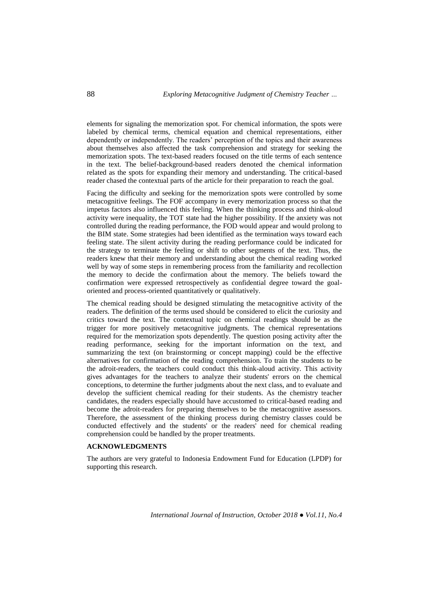elements for signaling the memorization spot. For chemical information, the spots were labeled by chemical terms, chemical equation and chemical representations, either dependently or independently. The readers' perception of the topics and their awareness about themselves also affected the task comprehension and strategy for seeking the memorization spots. The text-based readers focused on the title terms of each sentence in the text. The belief-background-based readers denoted the chemical information related as the spots for expanding their memory and understanding. The critical-based reader chased the contextual parts of the article for their preparation to reach the goal.

Facing the difficulty and seeking for the memorization spots were controlled by some metacognitive feelings. The FOF accompany in every memorization process so that the impetus factors also influenced this feeling. When the thinking process and think-aloud activity were inequality, the TOT state had the higher possibility. If the anxiety was not controlled during the reading performance, the FOD would appear and would prolong to the BIM state. Some strategies had been identified as the termination ways toward each feeling state. The silent activity during the reading performance could be indicated for the strategy to terminate the feeling or shift to other segments of the text. Thus, the readers knew that their memory and understanding about the chemical reading worked well by way of some steps in remembering process from the familiarity and recollection the memory to decide the confirmation about the memory. The beliefs toward the confirmation were expressed retrospectively as confidential degree toward the goaloriented and process-oriented quantitatively or qualitatively.

The chemical reading should be designed stimulating the metacognitive activity of the readers. The definition of the terms used should be considered to elicit the curiosity and critics toward the text. The contextual topic on chemical readings should be as the trigger for more positively metacognitive judgments. The chemical representations required for the memorization spots dependently. The question posing activity after the reading performance, seeking for the important information on the text, and summarizing the text (on brainstorming or concept mapping) could be the effective alternatives for confirmation of the reading comprehension. To train the students to be the adroit-readers, the teachers could conduct this think-aloud activity. This activity gives advantages for the teachers to analyze their students' errors on the chemical conceptions, to determine the further judgments about the next class, and to evaluate and develop the sufficient chemical reading for their students. As the chemistry teacher candidates, the readers especially should have accustomed to critical-based reading and become the adroit-readers for preparing themselves to be the metacognitive assessors. Therefore, the assessment of the thinking process during chemistry classes could be conducted effectively and the students' or the readers' need for chemical reading comprehension could be handled by the proper treatments.

## **ACKNOWLEDGMENTS**

The authors are very grateful to Indonesia Endowment Fund for Education (LPDP) for supporting this research.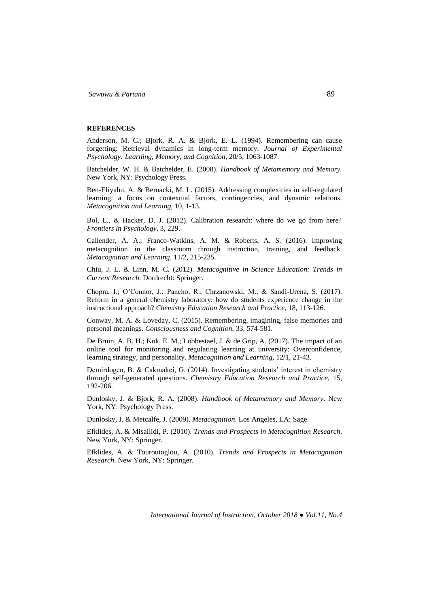#### **REFERENCES**

Anderson, M. C.; Bjork, R. A. & Bjork, E. L. (1994). Remembering can cause forgetting: Retrieval dynamics in long-term memory. *Journal of Experimental Psychology: Learning, Memory, and Cognition,* 20/5, 1063-1087.

Batchelder, W. H. & Batchelder, E. (2008). *Handbook of Metamemory and Memory.* New York, NY: Psychology Press.

Ben-Eliyahu, A. & Bernacki, M. L. (2015). Addressing complexities in self-regulated learning: a focus on contextual factors, contingencies, and dynamic relations. *Metacognition and Learning*, 10, 1-13.

Bol, L., & Hacker, D. J. (2012). Calibration research: where do we go from here? *Frontiers in Psychology,* 3, 229.

Callender, A. A.; Franco-Watkins, A. M. & Roberts, A. S. (2016). Improving metacognition in the classroom through instruction, training, and feedback. *Metacognition and Learning*, 11/2, 215-235.

Chiu, J. L. & Linn, M. C. (2012). *Metacognitive in Science Education: Trends in Current Research.* Dordrecht: Springer.

Chopra, I.; O'Connor, J.; Pancho, R.; Chrzanowski, M., & Sandi-Urena, S. (2017). Reform in a general chemistry laboratory: how do students experience change in the instructional approach? *Chemistry Education Research and Practice*, 18, 113-126.

Conway, M. A. & Loveday, C. (2015). Remembering, imagining, false memories and personal meanings. *Consciousness and Cognition*, 33, 574-581.

De Bruin, A. B. H.; Kok, E. M.; Lobbestael, J. & de Grip, A. (2017). The impact of an online tool for monitoring and regulating learning at university: Overconfidence, learning strategy, and personality. *Metacognition and Learning,* 12/1, 21-43.

Demirdogen, B. & Cakmakci, G. (2014). Investigating students' interest in chemistry through self-generated questions. *Chemistry Education Research and Practice,* 15, 192-206.

Dunlosky, J. & Bjork, R. A. (2008). *Handbook of Metamemory and Memory*. New York, NY: Psychology Press.

Dunlosky, J. & Metcalfe, J. (2009). *Metacognition*. Los Angeles, LA: Sage.

Efklides, A. & Misailidi, P. (2010). *Trends and Prospects in Metacognition Research*. New York, NY: Springer.

Efklides, A. & Touroutoglou, A. (2010). *Trends and Prospects in Metacognition Research*. New York, NY: Springer.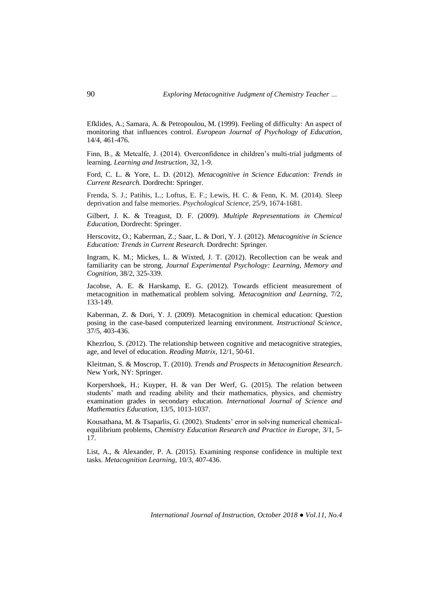Efklides, A.; Samara, A. & Petropoulou, M. (1999). Feeling of difficulty: An aspect of monitoring that influences control. *European Journal of Psychology of Education,*  14/4, 461-476.

Finn, B., & Metcalfe, J. (2014). Overconfidence in children's multi-trial judgments of learning. *Learning and Instruction,* 32, 1-9.

Ford, C. L. & Yore, L. D. (2012). *Metacognitive in Science Education: Trends in Current Research.* Dordrecht: Springer.

Frenda, S. J.; Patihis, L.; Loftus, E. F.; Lewis, H. C. & Fenn, K. M. (2014). Sleep deprivation and false memories. *Psychological Science*, 25/9, 1674-1681.

Gilbert, J. K. & Treagust, D. F. (2009). *Multiple Representations in Chemical Education*, Dordrecht: Springer.

Herscovitz, O.; Kaberman, Z.; Saar, L. & Dori, Y. J. (2012). *Metacognitive in Science Education: Trends in Current Research.* Dordrecht: Springer.

Ingram, K. M.; Mickes, L. & Wixted, J. T. (2012). Recollection can be weak and familiarity can be strong. *Journal Experimental Psychology: Learning, Memory and Cognition,* 38/2, 325-339.

Jacobse, A. E. & Harskamp, E. G. (2012). Towards efficient measurement of metacognition in mathematical problem solving*. Metacognition and Learning,* 7/2, 133-149.

Kaberman, Z. & Dori, Y. J. (2009). Metacognition in chemical education: Question posing in the case-based computerized learning environment. *Instructional Science,*  37/5, 403-436.

Khezrlou, S. (2012). The relationship between cognitive and metacognitive strategies, age, and level of education. *Reading Matrix*, 12/1, 50-61.

Kleitman, S. & Moscrop, T. (2010). *Trends and Prospects in Metacognition Research*. New York, NY: Springer.

Korpershoek, H.; Kuyper, H. & van Der Werf, G. (2015). The relation between students' math and reading ability and their mathematics, physics, and chemistry examination grades in secondary education. *International Journal of Science and Mathematics Education,* 13/5, 1013-1037.

Kousathana, M. & Tsaparlis, G. (2002). Students' error in solving numerical chemicalequilibrium problems, *Chemistry Education Research and Practice in Europe,* 3/1, 5- 17.

List, A., & Alexander, P. A. (2015). Examining response confidence in multiple text tasks. *Metacognition Learning,* 10/3, 407-436.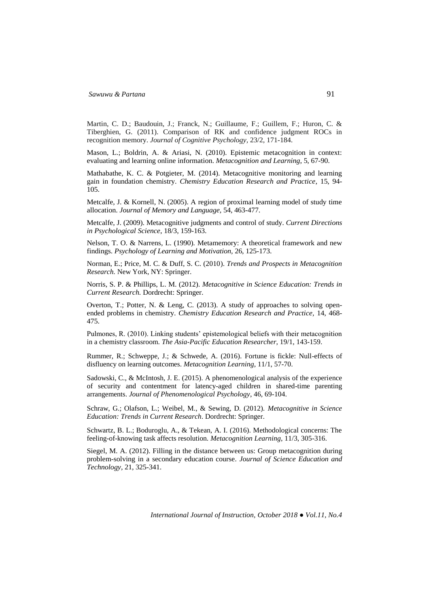Martin, C. D.; Baudouin, J.; Franck, N.; Guillaume, F.; Guillem, F.; Huron, C. & Tiberghien, G. (2011). Comparison of RK and confidence judgment ROCs in recognition memory. *Journal of Cognitive Psychology,* 23/2, 171-184.

Mason, L.; Boldrin, A. & Ariasi, N. (2010). Epistemic metacognition in context: evaluating and learning online information. *Metacognition and Learning*, 5, 67-90.

Mathabathe, K. C. & Potgieter, M. (2014). Metacognitive monitoring and learning gain in foundation chemistry. *Chemistry Education Research and Practice*, 15, 94- 105.

Metcalfe, J. & Kornell, N. (2005). A region of proximal learning model of study time allocation. *Journal of Memory and Language,* 54, 463-477.

Metcalfe, J. (2009). Metacognitive judgments and control of study. *Current Directions in Psychological Science*, 18/3, 159-163.

Nelson, T. O. & Narrens, L. (1990). Metamemory: A theoretical framework and new findings. *Psychology of Learning and Motivation,* 26, 125-173.

Norman, E.; Price, M. C. & Duff, S. C. (2010). *Trends and Prospects in Metacognition Research.* New York, NY: Springer.

Norris, S. P. & Phillips, L. M. (2012). *Metacognitive in Science Education: Trends in Current Research.* Dordrecht: Springer.

Overton, T.; Potter, N. & Leng, C. (2013). A study of approaches to solving openended problems in chemistry. *Chemistry Education Research and Practice,* 14, 468- 475.

Pulmones, R. (2010). Linking students' epistemological beliefs with their metacognition in a chemistry classroom. *The Asia-Pacific Education Researcher*, 19/1, 143-159.

Rummer, R.; Schweppe, J.; & Schwede, A. (2016). Fortune is fickle: Null-effects of disfluency on learning outcomes. *Metacognition Learning*, 11/1, 57-70.

Sadowski, C., & McIntosh, J. E. (2015). A phenomenological analysis of the experience of security and contentment for latency-aged children in shared-time parenting arrangements. *Journal of Phenomenological Psychology*, 46, 69-104.

Schraw, G.; Olafson, L.; Weibel, M., & Sewing, D. (2012). *Metacognitive in Science Education: Trends in Current Research*. Dordrecht: Springer.

Schwartz, B. L.; Boduroglu, A., & Tekean, A. I. (2016). Methodological concerns: The feeling-of-knowing task affects resolution. *Metacognition Learning*, 11/3, 305-316.

Siegel, M. A. (2012). Filling in the distance between us: Group metacognition during problem-solving in a secondary education course. *Journal of Science Education and Technology,* 21, 325-341.